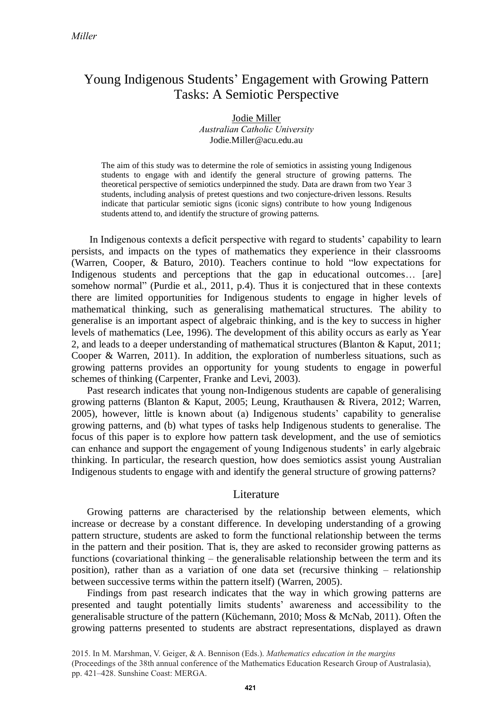# Young Indigenous Students' Engagement with Growing Pattern Tasks: A Semiotic Perspective

#### Jodie Miller *Australian Catholic University* Jodie.Miller@acu.edu.au

The aim of this study was to determine the role of semiotics in assisting young Indigenous students to engage with and identify the general structure of growing patterns. The theoretical perspective of semiotics underpinned the study. Data are drawn from two Year 3 students, including analysis of pretest questions and two conjecture-driven lessons. Results indicate that particular semiotic signs (iconic signs) contribute to how young Indigenous students attend to, and identify the structure of growing patterns.

In Indigenous contexts a deficit perspective with regard to students' capability to learn persists, and impacts on the types of mathematics they experience in their classrooms (Warren, Cooper, & Baturo, 2010). Teachers continue to hold "low expectations for Indigenous students and perceptions that the gap in educational outcomes… [are] somehow normal" (Purdie et al., 2011, p.4). Thus it is conjectured that in these contexts there are limited opportunities for Indigenous students to engage in higher levels of mathematical thinking, such as generalising mathematical structures. The ability to generalise is an important aspect of algebraic thinking, and is the key to success in higher levels of mathematics (Lee, 1996). The development of this ability occurs as early as Year 2, and leads to a deeper understanding of mathematical structures (Blanton & Kaput, 2011; Cooper & Warren, 2011). In addition, the exploration of numberless situations, such as growing patterns provides an opportunity for young students to engage in powerful schemes of thinking (Carpenter, Franke and Levi, 2003).

Past research indicates that young non-Indigenous students are capable of generalising growing patterns (Blanton & Kaput, 2005; Leung, Krauthausen & Rivera, 2012; Warren, 2005), however, little is known about (a) Indigenous students' capability to generalise growing patterns, and (b) what types of tasks help Indigenous students to generalise. The focus of this paper is to explore how pattern task development, and the use of semiotics can enhance and support the engagement of young Indigenous students' in early algebraic thinking. In particular, the research question, how does semiotics assist young Australian Indigenous students to engage with and identify the general structure of growing patterns?

#### **L**iterature

Growing patterns are characterised by the relationship between elements, which increase or decrease by a constant difference. In developing understanding of a growing pattern structure, students are asked to form the functional relationship between the terms in the pattern and their position. That is, they are asked to reconsider growing patterns as functions (covariational thinking – the generalisable relationship between the term and its position), rather than as a variation of one data set (recursive thinking – relationship between successive terms within the pattern itself) (Warren, 2005).

Findings from past research indicates that the way in which growing patterns are presented and taught potentially limits students' awareness and accessibility to the generalisable structure of the pattern (Küchemann, 2010; Moss & McNab, 2011). Often the growing patterns presented to students are abstract representations, displayed as drawn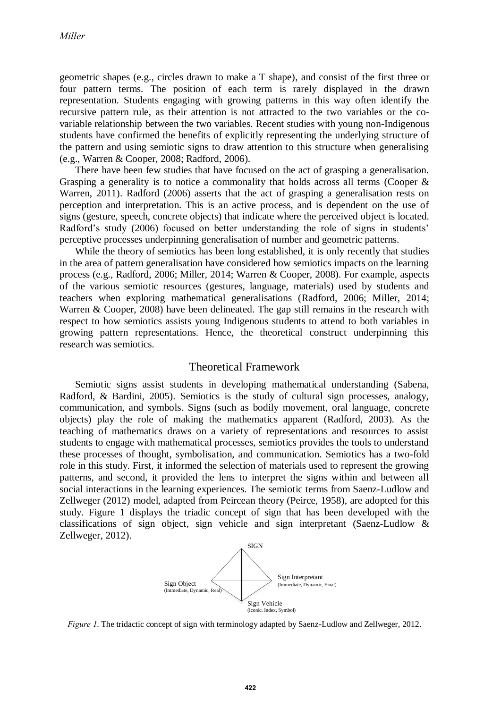geometric shapes (e.g., circles drawn to make a T shape), and consist of the first three or four pattern terms. The position of each term is rarely displayed in the drawn representation. Students engaging with growing patterns in this way often identify the recursive pattern rule, as their attention is not attracted to the two variables or the covariable relationship between the two variables. Recent studies with young non-Indigenous students have confirmed the benefits of explicitly representing the underlying structure of the pattern and using semiotic signs to draw attention to this structure when generalising (e.g., Warren & Cooper, 2008; Radford, 2006).

There have been few studies that have focused on the act of grasping a generalisation. Grasping a generality is to notice a commonality that holds across all terms (Cooper  $\&$ Warren, 2011). Radford (2006) asserts that the act of grasping a generalisation rests on perception and interpretation. This is an active process, and is dependent on the use of signs (gesture, speech, concrete objects) that indicate where the perceived object is located. Radford's study (2006) focused on better understanding the role of signs in students' perceptive processes underpinning generalisation of number and geometric patterns.

While the theory of semiotics has been long established, it is only recently that studies in the area of pattern generalisation have considered how semiotics impacts on the learning process (e.g., Radford, 2006; Miller, 2014; Warren & Cooper, 2008). For example, aspects of the various semiotic resources (gestures, language, materials) used by students and teachers when exploring mathematical generalisations (Radford, 2006; Miller, 2014; Warren & Cooper, 2008) have been delineated. The gap still remains in the research with respect to how semiotics assists young Indigenous students to attend to both variables in growing pattern representations. Hence, the theoretical construct underpinning this research was semiotics.

# Theoretical Framework

Semiotic signs assist students in developing mathematical understanding (Sabena, Radford, & Bardini, 2005). Semiotics is the study of cultural sign processes, analogy, communication, and symbols. Signs (such as bodily movement, oral language, concrete objects) play the role of making the mathematics apparent (Radford, 2003). As the teaching of mathematics draws on a variety of representations and resources to assist students to engage with mathematical processes, semiotics provides the tools to understand these processes of thought, symbolisation, and communication. Semiotics has a two-fold role in this study. First, it informed the selection of materials used to represent the growing patterns, and second, it provided the lens to interpret the signs within and between all social interactions in the learning experiences. The semiotic terms from Saenz-Ludlow and Zellweger (2012) model, adapted from Peircean theory (Peirce, 1958), are adopted for this study. Figure 1 displays the triadic concept of sign that has been developed with the classifications of sign object, sign vehicle and sign interpretant (Saenz-Ludlow & Zellweger, 2012).



*Figure 1*. The tridactic concept of sign with terminology adapted by Saenz-Ludlow and Zellweger, 2012.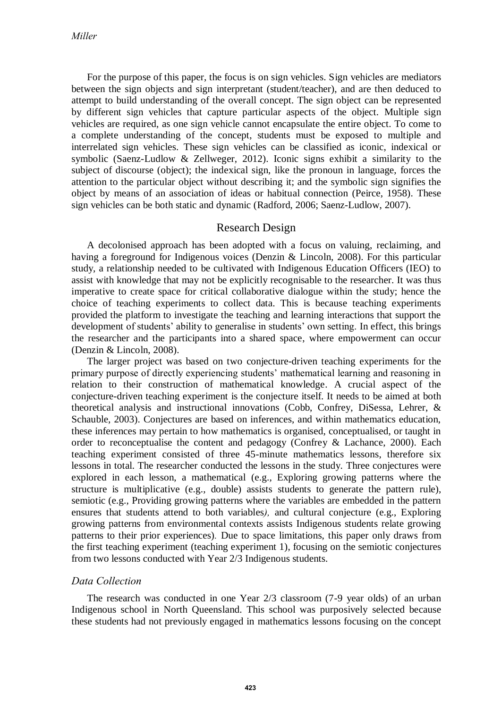For the purpose of this paper, the focus is on sign vehicles. Sign vehicles are mediators between the sign objects and sign interpretant (student/teacher), and are then deduced to attempt to build understanding of the overall concept. The sign object can be represented by different sign vehicles that capture particular aspects of the object. Multiple sign vehicles are required, as one sign vehicle cannot encapsulate the entire object. To come to a complete understanding of the concept, students must be exposed to multiple and interrelated sign vehicles. These sign vehicles can be classified as iconic, indexical or symbolic (Saenz-Ludlow & Zellweger, 2012). Iconic signs exhibit a similarity to the subject of discourse (object); the indexical sign, like the pronoun in language, forces the attention to the particular object without describing it; and the symbolic sign signifies the object by means of an association of ideas or habitual connection (Peirce, 1958). These sign vehicles can be both static and dynamic (Radford, 2006; Saenz-Ludlow, 2007).

## Research Design

A decolonised approach has been adopted with a focus on valuing, reclaiming, and having a foreground for Indigenous voices (Denzin & Lincoln, 2008). For this particular study, a relationship needed to be cultivated with Indigenous Education Officers (IEO) to assist with knowledge that may not be explicitly recognisable to the researcher. It was thus imperative to create space for critical collaborative dialogue within the study; hence the choice of teaching experiments to collect data. This is because teaching experiments provided the platform to investigate the teaching and learning interactions that support the development of students' ability to generalise in students' own setting. In effect, this brings the researcher and the participants into a shared space, where empowerment can occur (Denzin & Lincoln, 2008).

The larger project was based on two conjecture-driven teaching experiments for the primary purpose of directly experiencing students' mathematical learning and reasoning in relation to their construction of mathematical knowledge. A crucial aspect of the conjecture-driven teaching experiment is the conjecture itself. It needs to be aimed at both theoretical analysis and instructional innovations (Cobb, Confrey, DiSessa, Lehrer, & Schauble, 2003). Conjectures are based on inferences, and within mathematics education, these inferences may pertain to how mathematics is organised, conceptualised, or taught in order to reconceptualise the content and pedagogy (Confrey & Lachance, 2000). Each teaching experiment consisted of three 45-minute mathematics lessons, therefore six lessons in total. The researcher conducted the lessons in the study. Three conjectures were explored in each lesson, a mathematical (e.g., Exploring growing patterns where the structure is multiplicative (e.g., double) assists students to generate the pattern rule), semiotic (e.g., Providing growing patterns where the variables are embedded in the pattern ensures that students attend to both variables*),* and cultural conjecture (e.g., Exploring growing patterns from environmental contexts assists Indigenous students relate growing patterns to their prior experiences)*.* Due to space limitations, this paper only draws from the first teaching experiment (teaching experiment 1), focusing on the semiotic conjectures from two lessons conducted with Year 2/3 Indigenous students.

## *Data Collection*

The research was conducted in one Year 2/3 classroom (7-9 year olds) of an urban Indigenous school in North Queensland. This school was purposively selected because these students had not previously engaged in mathematics lessons focusing on the concept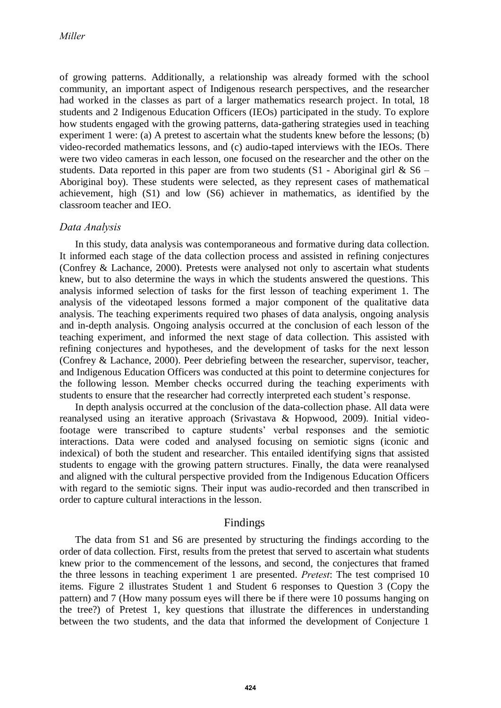of growing patterns. Additionally, a relationship was already formed with the school community, an important aspect of Indigenous research perspectives, and the researcher had worked in the classes as part of a larger mathematics research project. In total, 18 students and 2 Indigenous Education Officers (IEOs) participated in the study. To explore how students engaged with the growing patterns, data-gathering strategies used in teaching experiment 1 were: (a) A pretest to ascertain what the students knew before the lessons; (b) video-recorded mathematics lessons, and (c) audio-taped interviews with the IEOs. There were two video cameras in each lesson, one focused on the researcher and the other on the students. Data reported in this paper are from two students  $(S1 - Aboriginal)$  girl & S6 – Aboriginal boy). These students were selected, as they represent cases of mathematical achievement, high (S1) and low (S6) achiever in mathematics, as identified by the classroom teacher and IEO.

## *Data Analysis*

In this study, data analysis was contemporaneous and formative during data collection. It informed each stage of the data collection process and assisted in refining conjectures (Confrey & Lachance, 2000). Pretests were analysed not only to ascertain what students knew, but to also determine the ways in which the students answered the questions. This analysis informed selection of tasks for the first lesson of teaching experiment 1. The analysis of the videotaped lessons formed a major component of the qualitative data analysis. The teaching experiments required two phases of data analysis, ongoing analysis and in-depth analysis. Ongoing analysis occurred at the conclusion of each lesson of the teaching experiment, and informed the next stage of data collection. This assisted with refining conjectures and hypotheses, and the development of tasks for the next lesson (Confrey & Lachance, 2000). Peer debriefing between the researcher, supervisor, teacher, and Indigenous Education Officers was conducted at this point to determine conjectures for the following lesson. Member checks occurred during the teaching experiments with students to ensure that the researcher had correctly interpreted each student's response.

In depth analysis occurred at the conclusion of the data-collection phase. All data were reanalysed using an iterative approach (Srivastava & Hopwood, 2009). Initial videofootage were transcribed to capture students' verbal responses and the semiotic interactions. Data were coded and analysed focusing on semiotic signs (iconic and indexical) of both the student and researcher. This entailed identifying signs that assisted students to engage with the growing pattern structures. Finally, the data were reanalysed and aligned with the cultural perspective provided from the Indigenous Education Officers with regard to the semiotic signs. Their input was audio-recorded and then transcribed in order to capture cultural interactions in the lesson.

## Findings

The data from S1 and S6 are presented by structuring the findings according to the order of data collection. First, results from the pretest that served to ascertain what students knew prior to the commencement of the lessons, and second, the conjectures that framed the three lessons in teaching experiment 1 are presented. *Pretest*: The test comprised 10 items. Figure 2 illustrates Student 1 and Student 6 responses to Question 3 (Copy the pattern) and 7 (How many possum eyes will there be if there were 10 possums hanging on the tree?) of Pretest 1, key questions that illustrate the differences in understanding between the two students, and the data that informed the development of Conjecture 1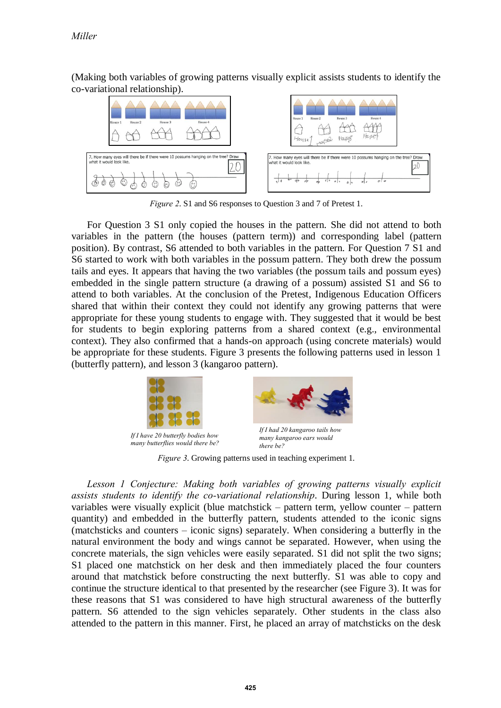(Making both variables of growing patterns visually explicit assists students to identify the co-variational relationship).



*Figure 2*. S1 and S6 responses to Question 3 and 7 of Pretest 1.

For Question 3 S1 only copied the houses in the pattern. She did not attend to both variables in the pattern (the houses (pattern term)) and corresponding label (pattern position). By contrast, S6 attended to both variables in the pattern. For Question 7 S1 and S6 started to work with both variables in the possum pattern. They both drew the possum tails and eyes. It appears that having the two variables (the possum tails and possum eyes) embedded in the single pattern structure (a drawing of a possum) assisted S1 and S6 to attend to both variables. At the conclusion of the Pretest, Indigenous Education Officers shared that within their context they could not identify any growing patterns that were appropriate for these young students to engage with. They suggested that it would be best for students to begin exploring patterns from a shared context (e.g., environmental context). They also confirmed that a hands-on approach (using concrete materials) would be appropriate for these students. Figure 3 presents the following patterns used in lesson 1 (butterfly pattern), and lesson 3 (kangaroo pattern).



*If I have 20 butterfly bodies how many butterflies would there be?*



*If I had 20 kangaroo tails how many kangaroo ears would there be?*

*Figure 3*. Growing patterns used in teaching experiment 1.

Lesson 1 Conjecture: Making both variables of growing patterns visually explicit *assists students to identify the co-variational relationship*. During lesson 1, while both variables were visually explicit (blue matchstick – pattern term, yellow counter – pattern quantity) and embedded in the butterfly pattern, students attended to the iconic signs (matchsticks and counters – iconic signs) separately. When considering a butterfly in the natural environment the body and wings cannot be separated. However, when using the concrete materials, the sign vehicles were easily separated. S1 did not split the two signs; S1 placed one matchstick on her desk and then immediately placed the four counters around that matchstick before constructing the next butterfly. S1 was able to copy and continue the structure identical to that presented by the researcher (see Figure 3). It was for these reasons that S1 was considered to have high structural awareness of the butterfly pattern. S6 attended to the sign vehicles separately. Other students in the class also attended to the pattern in this manner. First, he placed an array of matchsticks on the desk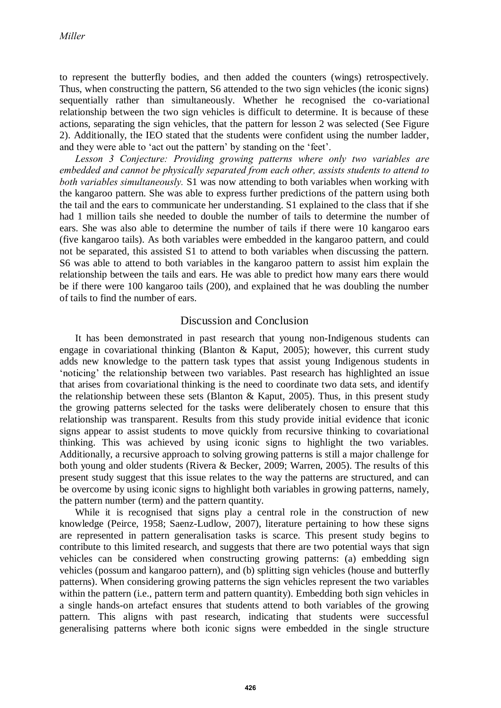to represent the butterfly bodies, and then added the counters (wings) retrospectively. Thus, when constructing the pattern, S6 attended to the two sign vehicles (the iconic signs) sequentially rather than simultaneously. Whether he recognised the co-variational relationship between the two sign vehicles is difficult to determine. It is because of these actions, separating the sign vehicles, that the pattern for lesson 2 was selected (See Figure 2). Additionally, the IEO stated that the students were confident using the number ladder, and they were able to 'act out the pattern' by standing on the 'feet'.

*Lesson 3 Conjecture: Providing growing patterns where only two variables are embedded and cannot be physically separated from each other, assists students to attend to both variables simultaneously.* S1 was now attending to both variables when working with the kangaroo pattern. She was able to express further predictions of the pattern using both the tail and the ears to communicate her understanding. S1 explained to the class that if she had 1 million tails she needed to double the number of tails to determine the number of ears. She was also able to determine the number of tails if there were 10 kangaroo ears (five kangaroo tails). As both variables were embedded in the kangaroo pattern, and could not be separated, this assisted S1 to attend to both variables when discussing the pattern. S6 was able to attend to both variables in the kangaroo pattern to assist him explain the relationship between the tails and ears. He was able to predict how many ears there would be if there were 100 kangaroo tails (200), and explained that he was doubling the number of tails to find the number of ears.

## Discussion and Conclusion

It has been demonstrated in past research that young non-Indigenous students can engage in covariational thinking (Blanton & Kaput, 2005); however, this current study adds new knowledge to the pattern task types that assist young Indigenous students in 'noticing' the relationship between two variables. Past research has highlighted an issue that arises from covariational thinking is the need to coordinate two data sets, and identify the relationship between these sets (Blanton  $\&$  Kaput, 2005). Thus, in this present study the growing patterns selected for the tasks were deliberately chosen to ensure that this relationship was transparent. Results from this study provide initial evidence that iconic signs appear to assist students to move quickly from recursive thinking to covariational thinking. This was achieved by using iconic signs to highlight the two variables. Additionally, a recursive approach to solving growing patterns is still a major challenge for both young and older students (Rivera & Becker, 2009; Warren, 2005). The results of this present study suggest that this issue relates to the way the patterns are structured, and can be overcome by using iconic signs to highlight both variables in growing patterns, namely, the pattern number (term) and the pattern quantity.

While it is recognised that signs play a central role in the construction of new knowledge (Peirce, 1958; Saenz-Ludlow, 2007), literature pertaining to how these signs are represented in pattern generalisation tasks is scarce. This present study begins to contribute to this limited research, and suggests that there are two potential ways that sign vehicles can be considered when constructing growing patterns: (a) embedding sign vehicles (possum and kangaroo pattern), and (b) splitting sign vehicles (house and butterfly patterns). When considering growing patterns the sign vehicles represent the two variables within the pattern (i.e., pattern term and pattern quantity). Embedding both sign vehicles in a single hands-on artefact ensures that students attend to both variables of the growing pattern. This aligns with past research, indicating that students were successful generalising patterns where both iconic signs were embedded in the single structure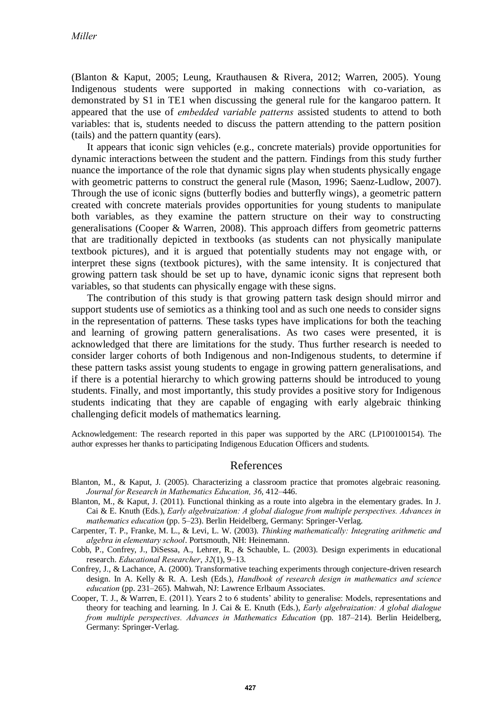(Blanton & Kaput, 2005; Leung, Krauthausen & Rivera, 2012; Warren, 2005). Young Indigenous students were supported in making connections with co-variation, as demonstrated by S1 in TE1 when discussing the general rule for the kangaroo pattern. It appeared that the use of *embedded variable patterns* assisted students to attend to both variables: that is, students needed to discuss the pattern attending to the pattern position (tails) and the pattern quantity (ears).

It appears that iconic sign vehicles (e.g., concrete materials) provide opportunities for dynamic interactions between the student and the pattern. Findings from this study further nuance the importance of the role that dynamic signs play when students physically engage with geometric patterns to construct the general rule (Mason, 1996; Saenz-Ludlow, 2007). Through the use of iconic signs (butterfly bodies and butterfly wings), a geometric pattern created with concrete materials provides opportunities for young students to manipulate both variables, as they examine the pattern structure on their way to constructing generalisations (Cooper & Warren, 2008). This approach differs from geometric patterns that are traditionally depicted in textbooks (as students can not physically manipulate textbook pictures), and it is argued that potentially students may not engage with, or interpret these signs (textbook pictures), with the same intensity. It is conjectured that growing pattern task should be set up to have, dynamic iconic signs that represent both variables, so that students can physically engage with these signs.

The contribution of this study is that growing pattern task design should mirror and support students use of semiotics as a thinking tool and as such one needs to consider signs in the representation of patterns*.* These tasks types have implications for both the teaching and learning of growing pattern generalisations. As two cases were presented, it is acknowledged that there are limitations for the study. Thus further research is needed to consider larger cohorts of both Indigenous and non-Indigenous students, to determine if these pattern tasks assist young students to engage in growing pattern generalisations, and if there is a potential hierarchy to which growing patterns should be introduced to young students. Finally, and most importantly, this study provides a positive story for Indigenous students indicating that they are capable of engaging with early algebraic thinking challenging deficit models of mathematics learning.

Acknowledgement: The research reported in this paper was supported by the ARC (LP100100154). The author expresses her thanks to participating Indigenous Education Officers and students.

## References

- Blanton, M., & Kaput, J. (2005). Characterizing a classroom practice that promotes algebraic reasoning. *Journal for Research in Mathematics Education, 36*, 412–446.
- Blanton, M., & Kaput, J. (2011). Functional thinking as a route into algebra in the elementary grades. In J. Cai & E. Knuth (Eds.), *Early algebraization: A global dialogue from multiple perspectives. Advances in mathematics education* (pp. 5–23). Berlin Heidelberg, Germany: Springer-Verlag.
- Carpenter, T. P., Franke, M. L., & Levi, L. W. (2003). *Thinking mathematically: Integrating arithmetic and algebra in elementary school*. Portsmouth, NH: Heinemann.
- Cobb, P., Confrey, J., DiSessa, A., Lehrer, R., & Schauble, L. (2003). Design experiments in educational research. *Educational Researcher*, *32*(1), 9–13.
- Confrey, J., & Lachance, A. (2000). Transformative teaching experiments through conjecture-driven research design. In A. Kelly & R. A. Lesh (Eds.), *Handbook of research design in mathematics and science education* (pp. 231–265). Mahwah, NJ: Lawrence Erlbaum Associates.
- Cooper, T. J., & Warren, E. (2011). Years 2 to 6 students' ability to generalise: Models, representations and theory for teaching and learning. In J. Cai & E. Knuth (Eds.), *Early algebraization: A global dialogue from multiple perspectives. Advances in Mathematics Education* (pp. 187–214). Berlin Heidelberg, Germany: Springer-Verlag.